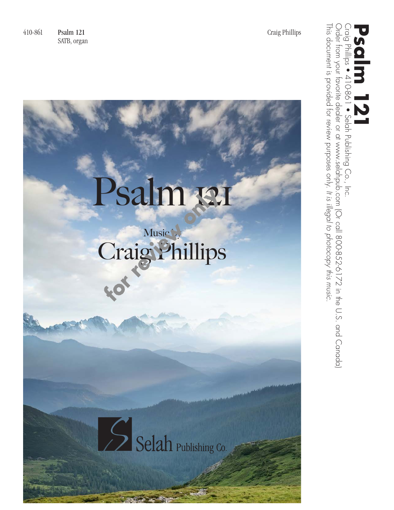410-861 Psalm 121 Craig Phillips SATB, organ

## Psalm 131

## Music by Craig Phillips

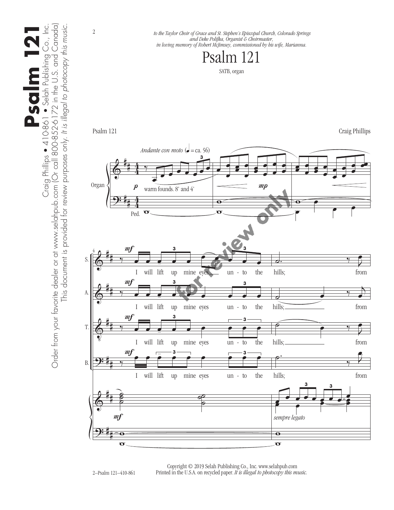

 Copyright © 2019 Selah Publishing Co., Inc. www.selahpub.com Printed in the U.S.A. on recycled paper. *It is illegal to photocopy this music.*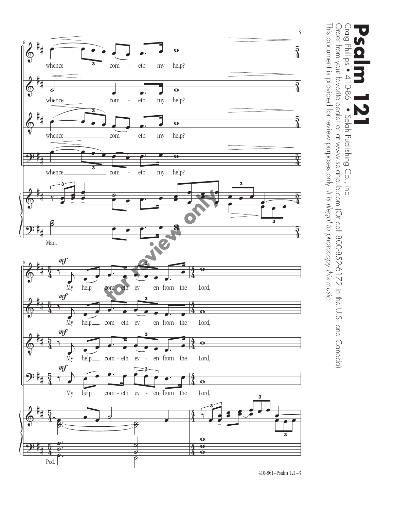

Craig Phillips • 410-861 • Selah Publishing Co., Inc.<br>Order from your favorite dealer or at www.selahpub.com (Or call 800-852-6172 in the U.S. and Canada)<br>This document is provided for review purposes only. It is illegal t This document is provided for review purposes only. It is illegal to photocopy this music. This document is provided for review purposes only. Order from your favorite dealer or at www.selahpub.com (Or call 800-852-6172 in the U.S. and Canada) Craig Phillips • 410-861 • Selah Publishing Co., Inc. **Psalm 121** *It is illegal to photocopy this music.*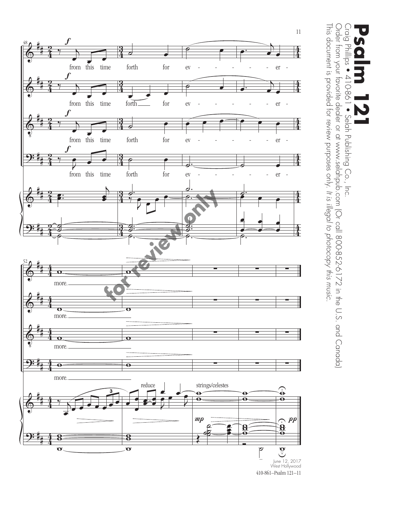

Craig Phillips • 410-861 • Selah Publishing Co., Inc. **Psalm 121**

Craig Phillips ● 410-861 ● Selah Publishing Co., Inc.<br>Order from your favorite dealer or at www.selahpub.com (Or call 800-852-6172 in the U.S. and Canada)<br>चा. - -This document is provided for review purposes only. It is illegal to photocopy this music. This document is provided for review purposes only. Order from your favorite dealer or at www.selahpub.com (Or call 800-852-6172 in the U.S. and Canada) • Selah Publishing Co., Inc. *It is illegal to photocopy this music.*